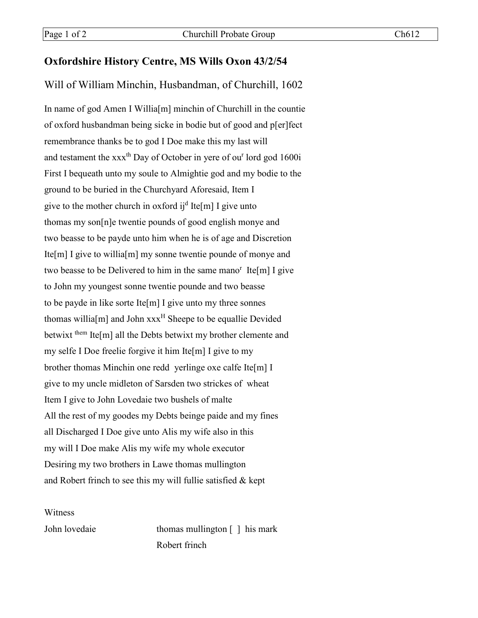## **Oxfordshire History Centre, MS Wills Oxon 43/2/54**

## Will of William Minchin, Husbandman, of Churchill, 1602

In name of god Amen I Willia<sup>[m]</sup> minchin of Churchill in the countie of oxford husbandman being sicke in bodie but of good and p[er]fect remembrance thanks be to god I Doe make this my last will and testament the  $xxx<sup>th</sup>$  Day of October in yere of ou<sup>r</sup> lord god 1600i First I bequeath unto my soule to Almightie god and my bodie to the ground to be buried in the Churchyard Aforesaid, Item I give to the mother church in oxford ij<sup>d</sup> Ite[m] I give unto thomas my son[n]e twentie pounds of good english monye and two beasse to be payde unto him when he is of age and Discretion Ite[m] I give to willia[m] my sonne twentie pounde of monye and two beasse to be Delivered to him in the same mano<sup>r</sup> Ite[m] I give to John my youngest sonne twentie pounde and two beasse to be payde in like sorte Ite[m] I give unto my three sonnes thomas willia  $[m]$  and John  $xxx^H$  Sheepe to be equallie Devided betwixt them Ite $[m]$  all the Debts betwixt my brother clemente and my selfe I Doe freelie forgive it him Ite[m] I give to my brother thomas Minchin one redd yerlinge oxe calfe Ite[m] I give to my uncle midleton of Sarsden two strickes of wheat Item I give to John Lovedaie two bushels of malte All the rest of my goodes my Debts beinge paide and my fines all Discharged I Doe give unto Alis my wife also in this my will I Doe make Alis my wife my whole executor Desiring my two brothers in Lawe thomas mullington and Robert frinch to see this my will fullie satisfied & kept

Witness

John lovedaie thomas mullington [ ] his mark Robert frinch